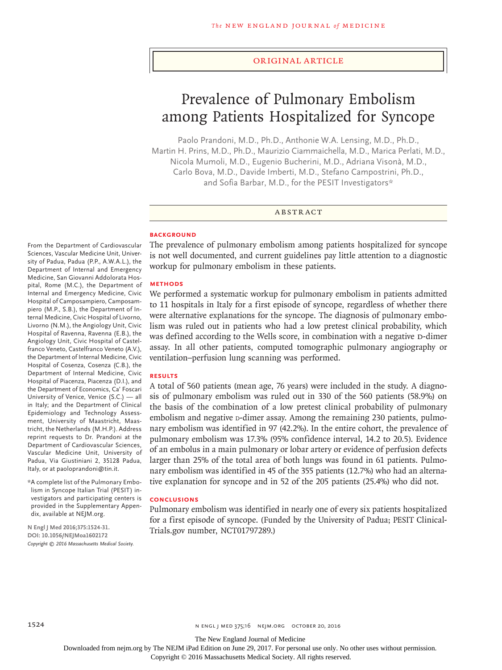#### Original Article

# Prevalence of Pulmonary Embolism among Patients Hospitalized for Syncope

Paolo Prandoni, M.D., Ph.D., Anthonie W.A. Lensing, M.D., Ph.D., Martin H. Prins, M.D., Ph.D., Maurizio Ciammaichella, M.D., Marica Perlati, M.D., Nicola Mumoli, M.D., Eugenio Bucherini, M.D., Adriana Visonà, M.D., Carlo Bova, M.D., Davide Imberti, M.D., Stefano Campostrini, Ph.D., and Sofia Barbar, M.D., for the PESIT Investigators\*

#### ABSTRACT

## **BACKGROUND**

From the Department of Cardiovascular Sciences, Vascular Medicine Unit, University of Padua, Padua (P.P., A.W.A.L.), the Department of Internal and Emergency Medicine, San Giovanni Addolorata Hospital, Rome (M.C.), the Department of Internal and Emergency Medicine, Civic Hospital of Camposampiero, Camposampiero (M.P., S.B.), the Department of Internal Medicine, Civic Hospital of Livorno, Livorno (N.M.), the Angiology Unit, Civic Hospital of Ravenna, Ravenna (E.B.), the Angiology Unit, Civic Hospital of Castelfranco Veneto, Castelfranco Veneto (A.V.), the Department of Internal Medicine, Civic Hospital of Cosenza, Cosenza (C.B.), the Department of Internal Medicine, Civic Hospital of Piacenza, Piacenza (D.I.), and the Department of Economics, Ca' Foscari University of Venice, Venice (S.C.) — all in Italy; and the Department of Clinical Epidemiology and Technology Assessment, University of Maastricht, Maastricht, the Netherlands (M.H.P.). Address reprint requests to Dr. Prandoni at the Department of Cardiovascular Sciences, Vascular Medicine Unit, University of Padua, Via Giustiniani 2, 35128 Padua, Italy, or at paoloprandoni@tin.it.

\*A complete list of the Pulmonary Embolism in Syncope Italian Trial (PESIT) investigators and participating centers is provided in the Supplementary Appendix, available at NEJM.org.

**N Engl J Med 2016;375:1524-31. DOI: 10.1056/NEJMoa1602172** *Copyright © 2016 Massachusetts Medical Society.* The prevalence of pulmonary embolism among patients hospitalized for syncope is not well documented, and current guidelines pay little attention to a diagnostic workup for pulmonary embolism in these patients.

#### **METHODS**

We performed a systematic workup for pulmonary embolism in patients admitted to 11 hospitals in Italy for a first episode of syncope, regardless of whether there were alternative explanations for the syncope. The diagnosis of pulmonary embolism was ruled out in patients who had a low pretest clinical probability, which was defined according to the Wells score, in combination with a negative D-dimer assay. In all other patients, computed tomographic pulmonary angiography or ventilation–perfusion lung scanning was performed.

## **RESULTS**

A total of 560 patients (mean age, 76 years) were included in the study. A diagnosis of pulmonary embolism was ruled out in 330 of the 560 patients (58.9%) on the basis of the combination of a low pretest clinical probability of pulmonary embolism and negative p-dimer assay. Among the remaining 230 patients, pulmonary embolism was identified in 97 (42.2%). In the entire cohort, the prevalence of pulmonary embolism was 17.3% (95% confidence interval, 14.2 to 20.5). Evidence of an embolus in a main pulmonary or lobar artery or evidence of perfusion defects larger than 25% of the total area of both lungs was found in 61 patients. Pulmonary embolism was identified in 45 of the 355 patients (12.7%) who had an alternative explanation for syncope and in 52 of the 205 patients (25.4%) who did not.

#### **CONCLUSIONS**

Pulmonary embolism was identified in nearly one of every six patients hospitalized for a first episode of syncope. (Funded by the University of Padua; PESIT Clinical-Trials.gov number, NCT01797289.)

The New England Journal of Medicine

Downloaded from nejm.org by The NEJM iPad Edition on June 29, 2017. For personal use only. No other uses without permission.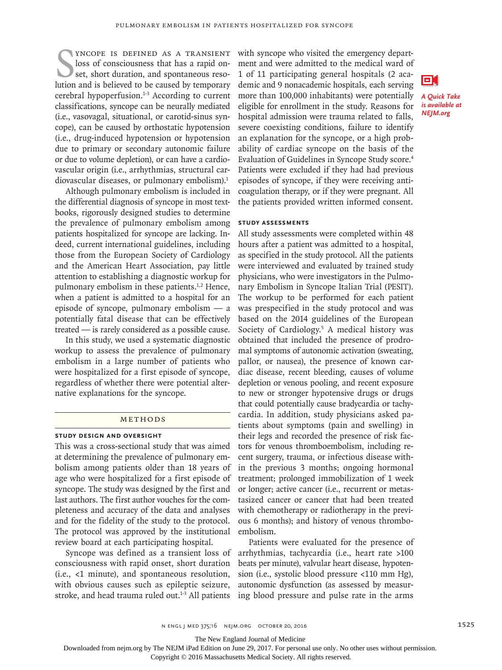SUNCOPE IS DEFINED AS A TRANSIENT loss of consciousness that has a rapid onset, short duration, and spontaneous resolution and is believed to be caused by temporary yncope is defined as a transient loss of consciousness that has a rapid onset, short duration, and spontaneous resocerebral hypoperfusion.1-3 According to current classifications, syncope can be neurally mediated (i.e., vasovagal, situational, or carotid-sinus syncope), can be caused by orthostatic hypotension (i.e., drug-induced hypotension or hypotension due to primary or secondary autonomic failure or due to volume depletion), or can have a cardiovascular origin (i.e., arrhythmias, structural cardiovascular diseases, or pulmonary embolism).<sup>1</sup>

Although pulmonary embolism is included in the differential diagnosis of syncope in most textbooks, rigorously designed studies to determine the prevalence of pulmonary embolism among patients hospitalized for syncope are lacking. Indeed, current international guidelines, including those from the European Society of Cardiology and the American Heart Association, pay little attention to establishing a diagnostic workup for pulmonary embolism in these patients.<sup>1,2</sup> Hence, when a patient is admitted to a hospital for an episode of syncope, pulmonary embolism — a potentially fatal disease that can be effectively treated — is rarely considered as a possible cause.

In this study, we used a systematic diagnostic workup to assess the prevalence of pulmonary embolism in a large number of patients who were hospitalized for a first episode of syncope, regardless of whether there were potential alternative explanations for the syncope.

#### Methods

#### **Study Design and Oversight**

This was a cross-sectional study that was aimed at determining the prevalence of pulmonary embolism among patients older than 18 years of age who were hospitalized for a first episode of syncope. The study was designed by the first and last authors. The first author vouches for the completeness and accuracy of the data and analyses and for the fidelity of the study to the protocol. The protocol was approved by the institutional review board at each participating hospital.

Syncope was defined as a transient loss of consciousness with rapid onset, short duration (i.e., <1 minute), and spontaneous resolution, with obvious causes such as epileptic seizure, stroke, and head trauma ruled out.<sup>1-3</sup> All patients

with syncope who visited the emergency department and were admitted to the medical ward of 1 of 11 participating general hospitals (2 academic and 9 nonacademic hospitals, each serving more than 100,000 inhabitants) were potentially eligible for enrollment in the study. Reasons for hospital admission were trauma related to falls, severe coexisting conditions, failure to identify an explanation for the syncope, or a high probability of cardiac syncope on the basis of the Evaluation of Guidelines in Syncope Study score.4 Patients were excluded if they had had previous episodes of syncope, if they were receiving anticoagulation therapy, or if they were pregnant. All the patients provided written informed consent.

## **Study Assessments**

All study assessments were completed within 48 hours after a patient was admitted to a hospital, as specified in the study protocol. All the patients were interviewed and evaluated by trained study physicians, who were investigators in the Pulmonary Embolism in Syncope Italian Trial (PESIT). The workup to be performed for each patient was prespecified in the study protocol and was based on the 2014 guidelines of the European Society of Cardiology.<sup>5</sup> A medical history was obtained that included the presence of prodromal symptoms of autonomic activation (sweating, pallor, or nausea), the presence of known cardiac disease, recent bleeding, causes of volume depletion or venous pooling, and recent exposure to new or stronger hypotensive drugs or drugs that could potentially cause bradycardia or tachycardia. In addition, study physicians asked patients about symptoms (pain and swelling) in their legs and recorded the presence of risk factors for venous thromboembolism, including recent surgery, trauma, or infectious disease within the previous 3 months; ongoing hormonal treatment; prolonged immobilization of 1 week or longer; active cancer (i.e., recurrent or metastasized cancer or cancer that had been treated with chemotherapy or radiotherapy in the previous 6 months); and history of venous thromboembolism.

Patients were evaluated for the presence of arrhythmias, tachycardia (i.e., heart rate >100 beats per minute), valvular heart disease, hypotension (i.e., systolic blood pressure <110 mm Hg), autonomic dysfunction (as assessed by measuring blood pressure and pulse rate in the arms



The New England Journal of Medicine

Downloaded from nejm.org by The NEJM iPad Edition on June 29, 2017. For personal use only. No other uses without permission.

n engl j med 375;16 nejm.org October 20, 2016 1525 1525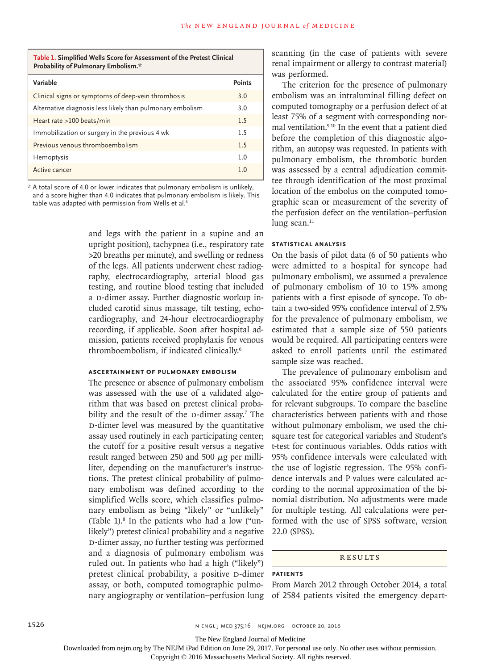### **Table 1. Simplified Wells Score for Assessment of the Pretest Clinical Probability of Pulmonary Embolism.\***

| Variable                                                  | <b>Points</b>  |
|-----------------------------------------------------------|----------------|
| Clinical signs or symptoms of deep-vein thrombosis        | 3.0            |
| Alternative diagnosis less likely than pulmonary embolism | 3.0            |
| Heart rate >100 beats/min                                 | 1.5            |
| Immobilization or surgery in the previous 4 wk            | 1.5            |
| Previous venous thromboembolism                           | 1.5            |
| Hemoptysis                                                | 1.0            |
| Active cancer                                             | 1 <sub>0</sub> |

\* A total score of 4.0 or lower indicates that pulmonary embolism is unlikely, and a score higher than 4.0 indicates that pulmonary embolism is likely. This table was adapted with permission from Wells et al. $^8$ 

> and legs with the patient in a supine and an upright position), tachypnea (i.e., respiratory rate >20 breaths per minute), and swelling or redness of the legs. All patients underwent chest radiography, electrocardiography, arterial blood gas testing, and routine blood testing that included a D-dimer assay. Further diagnostic workup included carotid sinus massage, tilt testing, echocardiography, and 24-hour electrocardiography recording, if applicable. Soon after hospital admission, patients received prophylaxis for venous thromboembolism, if indicated clinically.6

# **Ascertainment of Pulmonary Embolism**

The presence or absence of pulmonary embolism was assessed with the use of a validated algorithm that was based on pretest clinical probability and the result of the  $D$ -dimer assay.<sup>7</sup> The d-dimer level was measured by the quantitative assay used routinely in each participating center; the cutoff for a positive result versus a negative result ranged between 250 and 500  $\mu$ g per milliliter, depending on the manufacturer's instructions. The pretest clinical probability of pulmonary embolism was defined according to the simplified Wells score, which classifies pulmonary embolism as being "likely" or "unlikely" (Table 1).8 In the patients who had a low ("unlikely") pretest clinical probability and a negative d-dimer assay, no further testing was performed and a diagnosis of pulmonary embolism was ruled out. In patients who had a high ("likely") pretest clinical probability, a positive D-dimer assay, or both, computed tomographic pulmonary angiography or ventilation–perfusion lung

scanning (in the case of patients with severe renal impairment or allergy to contrast material) was performed.

The criterion for the presence of pulmonary embolism was an intraluminal filling defect on computed tomography or a perfusion defect of at least 75% of a segment with corresponding normal ventilation.9,10 In the event that a patient died before the completion of this diagnostic algorithm, an autopsy was requested. In patients with pulmonary embolism, the thrombotic burden was assessed by a central adjudication committee through identification of the most proximal location of the embolus on the computed tomographic scan or measurement of the severity of the perfusion defect on the ventilation–perfusion lung scan. $11$ 

# **Statistical Analysis**

On the basis of pilot data (6 of 50 patients who were admitted to a hospital for syncope had pulmonary embolism), we assumed a prevalence of pulmonary embolism of 10 to 15% among patients with a first episode of syncope. To obtain a two-sided 95% confidence interval of 2.5% for the prevalence of pulmonary embolism, we estimated that a sample size of 550 patients would be required. All participating centers were asked to enroll patients until the estimated sample size was reached.

The prevalence of pulmonary embolism and the associated 95% confidence interval were calculated for the entire group of patients and for relevant subgroups. To compare the baseline characteristics between patients with and those without pulmonary embolism, we used the chisquare test for categorical variables and Student's t-test for continuous variables. Odds ratios with 95% confidence intervals were calculated with the use of logistic regression. The 95% confidence intervals and P values were calculated according to the normal approximation of the binomial distribution. No adjustments were made for multiple testing. All calculations were performed with the use of SPSS software, version 22.0 (SPSS).

# Results

### **Patients**

From March 2012 through October 2014, a total of 2584 patients visited the emergency depart-

The New England Journal of Medicine

Downloaded from nejm.org by The NEJM iPad Edition on June 29, 2017. For personal use only. No other uses without permission.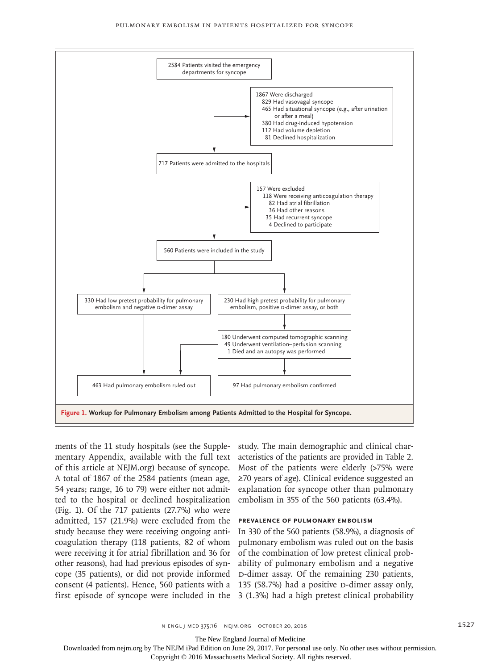

ments of the 11 study hospitals (see the Supplementary Appendix, available with the full text of this article at NEJM.org) because of syncope. A total of 1867 of the 2584 patients (mean age, 54 years; range, 16 to 79) were either not admitted to the hospital or declined hospitalization (Fig. 1). Of the 717 patients (27.7%) who were admitted, 157 (21.9%) were excluded from the study because they were receiving ongoing anticoagulation therapy (118 patients, 82 of whom were receiving it for atrial fibrillation and 36 for of the combination of low pretest clinical probother reasons), had had previous episodes of syncope (35 patients), or did not provide informed consent (4 patients). Hence, 560 patients with a

study. The main demographic and clinical characteristics of the patients are provided in Table 2. Most of the patients were elderly (>75% were ≥70 years of age). Clinical evidence suggested an explanation for syncope other than pulmonary embolism in 355 of the 560 patients (63.4%).

# **Prevalence of Pulmonary Embolism**

first episode of syncope were included in the 3 (1.3%) had a high pretest clinical probability In 330 of the 560 patients (58.9%), a diagnosis of pulmonary embolism was ruled out on the basis ability of pulmonary embolism and a negative d-dimer assay. Of the remaining 230 patients, 135 (58.7%) had a positive  $D$ -dimer assay only,

The New England Journal of Medicine

Downloaded from nejm.org by The NEJM iPad Edition on June 29, 2017. For personal use only. No other uses without permission.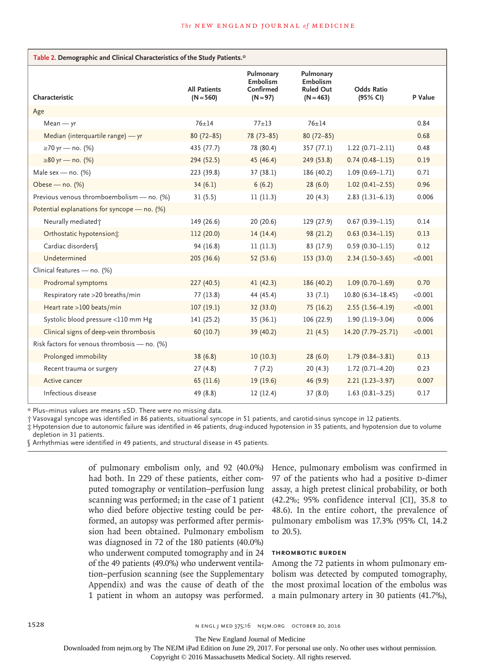| Table 2. Demographic and Clinical Characteristics of the Study Patients.* |                                    |                                                  |                                                          |                               |         |  |  |
|---------------------------------------------------------------------------|------------------------------------|--------------------------------------------------|----------------------------------------------------------|-------------------------------|---------|--|--|
| Characteristic                                                            | <b>All Patients</b><br>$(N = 560)$ | Pulmonary<br>Embolism<br>Confirmed<br>$(N = 97)$ | Pulmonary<br>Embolism<br><b>Ruled Out</b><br>$(N = 463)$ | <b>Odds Ratio</b><br>(95% CI) | P Value |  |  |
| Age                                                                       |                                    |                                                  |                                                          |                               |         |  |  |
| $Mean - yr$                                                               | $76 + 14$                          | $77 + 13$                                        | $76 + 14$                                                |                               | 0.84    |  |  |
| Median (interquartile range) - yr                                         | $80(72 - 85)$                      | $78(73 - 85)$                                    | $80(72 - 85)$                                            |                               | 0.68    |  |  |
| ≥70 yr — no. (%)                                                          | 435 (77.7)                         | 78 (80.4)                                        | 357(77.1)                                                | $1.22(0.71 - 2.11)$           | 0.48    |  |  |
| ≥80 yr — no. (%)                                                          | 294 (52.5)                         | 45 (46.4)                                        | 249 (53.8)                                               | $0.74(0.48 - 1.15)$           | 0.19    |  |  |
| Male sex - no. $(%)$                                                      | 223 (39.8)                         | 37(38.1)                                         | 186 (40.2)                                               | $1.09(0.69 - 1.71)$           | 0.71    |  |  |
| Obese - no. (%)                                                           | 34(6.1)                            | 6(6.2)                                           | 28(6.0)                                                  | $1.02(0.41 - 2.55)$           | 0.96    |  |  |
| Previous venous thromboembolism - no. (%)                                 | 31(5.5)                            | 11(11.3)                                         | 20(4.3)                                                  | $2.83(1.31-6.13)$             | 0.006   |  |  |
| Potential explanations for syncope - no. (%)                              |                                    |                                                  |                                                          |                               |         |  |  |
| Neurally mediated;                                                        | 149 (26.6)                         | 20(20.6)                                         | 129 (27.9)                                               | $0.67(0.39 - 1.15)$           | 0.14    |  |  |
| Orthostatic hypotension <sup>*</sup>                                      | 112 (20.0)                         | 14(14.4)                                         | 98 (21.2)                                                | $0.63(0.34 - 1.15)$           | 0.13    |  |  |
| Cardiac disorders                                                         | 94 (16.8)                          | 11(11.3)                                         | 83 (17.9)                                                | $0.59(0.30 - 1.15)$           | 0.12    |  |  |
| Undetermined                                                              | 205 (36.6)                         | 52 (53.6)                                        | 153 (33.0)                                               | $2.34(1.50-3.65)$             | < 0.001 |  |  |
| Clinical features - no. (%)                                               |                                    |                                                  |                                                          |                               |         |  |  |
| Prodromal symptoms                                                        | 227 (40.5)                         | 41(42.3)                                         | 186 (40.2)                                               | $1.09(0.70 - 1.69)$           | 0.70    |  |  |
| Respiratory rate >20 breaths/min                                          | 77 (13.8)                          | 44 (45.4)                                        | 33(7.1)                                                  | $10.80(6.34 - 18.45)$         | < 0.001 |  |  |
| Heart rate >100 beats/min                                                 | 107(19.1)                          | 32 (33.0)                                        | 75(16.2)                                                 | $2.55(1.56-4.19)$             | < 0.001 |  |  |
| Systolic blood pressure <110 mm Hg                                        | 141 (25.2)                         | 35(36.1)                                         | 106 (22.9)                                               | $1.90(1.19-3.04)$             | 0.006   |  |  |
| Clinical signs of deep-vein thrombosis                                    | 60(10.7)                           | 39 (40.2)                                        | 21(4.5)                                                  | 14.20 (7.79-25.71)            | < 0.001 |  |  |
| Risk factors for venous thrombosis - no. (%)                              |                                    |                                                  |                                                          |                               |         |  |  |
| Prolonged immobility                                                      | 38(6.8)                            | 10(10.3)                                         | 28(6.0)                                                  | $1.79(0.84 - 3.81)$           | 0.13    |  |  |
| Recent trauma or surgery                                                  | 27(4.8)                            | 7(7.2)                                           | 20(4.3)                                                  | $1.72(0.71 - 4.20)$           | 0.23    |  |  |
| Active cancer                                                             | 65 (11.6)                          | 19(19.6)                                         | 46 (9.9)                                                 | $2.21(1.23 - 3.97)$           | 0.007   |  |  |
| Infectious disease                                                        | 49 (8.8)                           | 12(12.4)                                         | 37 (8.0)                                                 | $1.63(0.81 - 3.25)$           | 0.17    |  |  |

\* Plus–minus values are means ±SD. There were no missing data.

† Vasovagal syncope was identified in 86 patients, situational syncope in 51 patients, and carotid-sinus syncope in 12 patients.

‡ Hypotension due to autonomic failure was identified in 46 patients, drug-induced hypotension in 35 patients, and hypotension due to volume

depletion in 31 patients.

§ Arrhythmias were identified in 49 patients, and structural disease in 45 patients.

of pulmonary embolism only, and 92 (40.0%) had both. In 229 of these patients, either computed tomography or ventilation–perfusion lung scanning was performed; in the case of 1 patient who died before objective testing could be performed, an autopsy was performed after permission had been obtained. Pulmonary embolism was diagnosed in 72 of the 180 patients (40.0%) who underwent computed tomography and in 24 of the 49 patients (49.0%) who underwent ventilation–perfusion scanning (see the Supplementary Appendix) and was the cause of death of the 1 patient in whom an autopsy was performed. Hence, pulmonary embolism was confirmed in 97 of the patients who had a positive D-dimer assay, a high pretest clinical probability, or both (42.2%; 95% confidence interval [CI], 35.8 to 48.6). In the entire cohort, the prevalence of pulmonary embolism was 17.3% (95% CI, 14.2 to 20.5).

# **Thrombotic Burden**

Among the 72 patients in whom pulmonary embolism was detected by computed tomography, the most proximal location of the embolus was a main pulmonary artery in 30 patients (41.7%),

1528 n engl j med 375;16 nejm.org October 20, 2016

The New England Journal of Medicine

Downloaded from nejm.org by The NEJM iPad Edition on June 29, 2017. For personal use only. No other uses without permission.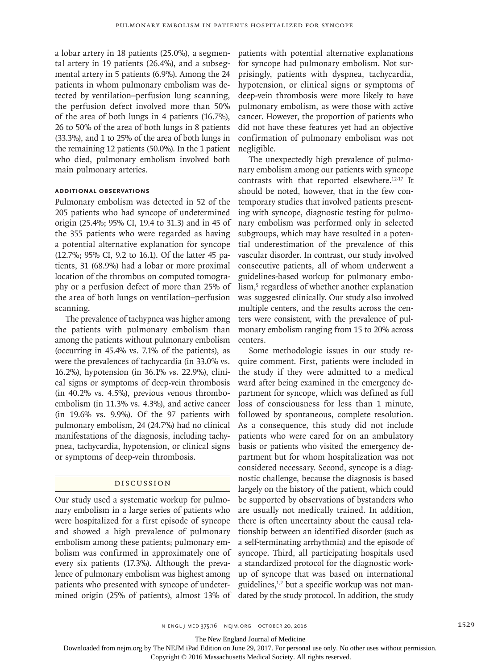a lobar artery in 18 patients (25.0%), a segmental artery in 19 patients (26.4%), and a subsegmental artery in 5 patients (6.9%). Among the 24 patients in whom pulmonary embolism was detected by ventilation–perfusion lung scanning, the perfusion defect involved more than 50% of the area of both lungs in 4 patients (16.7%), 26 to 50% of the area of both lungs in 8 patients (33.3%), and 1 to 25% of the area of both lungs in the remaining 12 patients (50.0%). In the 1 patient who died, pulmonary embolism involved both main pulmonary arteries.

# **Additional Observations**

Pulmonary embolism was detected in 52 of the 205 patients who had syncope of undetermined origin (25.4%; 95% CI, 19.4 to 31.3) and in 45 of the 355 patients who were regarded as having a potential alternative explanation for syncope (12.7%; 95% CI, 9.2 to 16.1). Of the latter 45 patients, 31 (68.9%) had a lobar or more proximal location of the thrombus on computed tomography or a perfusion defect of more than 25% of the area of both lungs on ventilation–perfusion scanning.

The prevalence of tachypnea was higher among the patients with pulmonary embolism than among the patients without pulmonary embolism (occurring in 45.4% vs. 7.1% of the patients), as were the prevalences of tachycardia (in 33.0% vs. 16.2%), hypotension (in 36.1% vs. 22.9%), clinical signs or symptoms of deep-vein thrombosis (in 40.2% vs. 4.5%), previous venous thromboembolism (in 11.3% vs. 4.3%), and active cancer (in 19.6% vs. 9.9%). Of the 97 patients with pulmonary embolism, 24 (24.7%) had no clinical manifestations of the diagnosis, including tachypnea, tachycardia, hypotension, or clinical signs or symptoms of deep-vein thrombosis.

# Discussion

Our study used a systematic workup for pulmonary embolism in a large series of patients who were hospitalized for a first episode of syncope and showed a high prevalence of pulmonary embolism among these patients; pulmonary embolism was confirmed in approximately one of every six patients (17.3%). Although the prevalence of pulmonary embolism was highest among patients who presented with syncope of undetermined origin (25% of patients), almost 13% of patients with potential alternative explanations for syncope had pulmonary embolism. Not surprisingly, patients with dyspnea, tachycardia, hypotension, or clinical signs or symptoms of deep-vein thrombosis were more likely to have pulmonary embolism, as were those with active cancer. However, the proportion of patients who did not have these features yet had an objective confirmation of pulmonary embolism was not negligible.

The unexpectedly high prevalence of pulmonary embolism among our patients with syncope contrasts with that reported elsewhere.12-17 It should be noted, however, that in the few contemporary studies that involved patients presenting with syncope, diagnostic testing for pulmonary embolism was performed only in selected subgroups, which may have resulted in a potential underestimation of the prevalence of this vascular disorder. In contrast, our study involved consecutive patients, all of whom underwent a guidelines-based workup for pulmonary embolism,<sup>5</sup> regardless of whether another explanation was suggested clinically. Our study also involved multiple centers, and the results across the centers were consistent, with the prevalence of pulmonary embolism ranging from 15 to 20% across centers.

Some methodologic issues in our study require comment. First, patients were included in the study if they were admitted to a medical ward after being examined in the emergency department for syncope, which was defined as full loss of consciousness for less than 1 minute, followed by spontaneous, complete resolution. As a consequence, this study did not include patients who were cared for on an ambulatory basis or patients who visited the emergency department but for whom hospitalization was not considered necessary. Second, syncope is a diagnostic challenge, because the diagnosis is based largely on the history of the patient, which could be supported by observations of bystanders who are usually not medically trained. In addition, there is often uncertainty about the causal relationship between an identified disorder (such as a self-terminating arrhythmia) and the episode of syncope. Third, all participating hospitals used a standardized protocol for the diagnostic workup of syncope that was based on international guidelines, $1,2$  but a specific workup was not mandated by the study protocol. In addition, the study

n engl j med 375;16 nejm.org October 20, 2016 1529

The New England Journal of Medicine

Downloaded from nejm.org by The NEJM iPad Edition on June 29, 2017. For personal use only. No other uses without permission.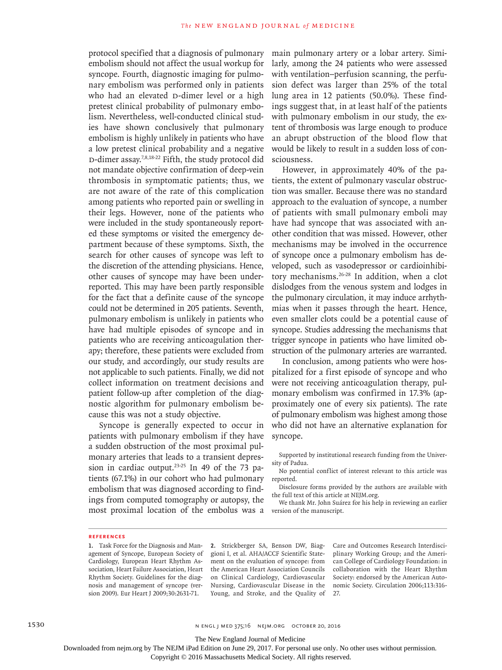protocol specified that a diagnosis of pulmonary embolism should not affect the usual workup for syncope. Fourth, diagnostic imaging for pulmonary embolism was performed only in patients who had an elevated D-dimer level or a high pretest clinical probability of pulmonary embolism. Nevertheless, well-conducted clinical studies have shown conclusively that pulmonary embolism is highly unlikely in patients who have a low pretest clinical probability and a negative D-dimer assay.<sup>7,8,18-22</sup> Fifth, the study protocol did not mandate objective confirmation of deep-vein thrombosis in symptomatic patients; thus, we are not aware of the rate of this complication among patients who reported pain or swelling in their legs. However, none of the patients who were included in the study spontaneously reported these symptoms or visited the emergency department because of these symptoms. Sixth, the search for other causes of syncope was left to the discretion of the attending physicians. Hence, other causes of syncope may have been underreported. This may have been partly responsible for the fact that a definite cause of the syncope could not be determined in 205 patients. Seventh, pulmonary embolism is unlikely in patients who have had multiple episodes of syncope and in patients who are receiving anticoagulation therapy; therefore, these patients were excluded from our study, and accordingly, our study results are not applicable to such patients. Finally, we did not collect information on treatment decisions and patient follow-up after completion of the diagnostic algorithm for pulmonary embolism because this was not a study objective.

Syncope is generally expected to occur in patients with pulmonary embolism if they have a sudden obstruction of the most proximal pulmonary arteries that leads to a transient depression in cardiac output.<sup>23-25</sup> In 49 of the 73 patients (67.1%) in our cohort who had pulmonary embolism that was diagnosed according to findings from computed tomography or autopsy, the most proximal location of the embolus was a main pulmonary artery or a lobar artery. Similarly, among the 24 patients who were assessed with ventilation–perfusion scanning, the perfusion defect was larger than 25% of the total lung area in 12 patients (50.0%). These findings suggest that, in at least half of the patients with pulmonary embolism in our study, the extent of thrombosis was large enough to produce an abrupt obstruction of the blood flow that would be likely to result in a sudden loss of consciousness.

However, in approximately 40% of the patients, the extent of pulmonary vascular obstruction was smaller. Because there was no standard approach to the evaluation of syncope, a number of patients with small pulmonary emboli may have had syncope that was associated with another condition that was missed. However, other mechanisms may be involved in the occurrence of syncope once a pulmonary embolism has developed, such as vasodepressor or cardioinhibitory mechanisms.26-28 In addition, when a clot dislodges from the venous system and lodges in the pulmonary circulation, it may induce arrhythmias when it passes through the heart. Hence, even smaller clots could be a potential cause of syncope. Studies addressing the mechanisms that trigger syncope in patients who have limited obstruction of the pulmonary arteries are warranted.

In conclusion, among patients who were hospitalized for a first episode of syncope and who were not receiving anticoagulation therapy, pulmonary embolism was confirmed in 17.3% (approximately one of every six patients). The rate of pulmonary embolism was highest among those who did not have an alternative explanation for syncope.

Supported by institutional research funding from the University of Padua.

No potential conflict of interest relevant to this article was reported.

Disclosure forms provided by the authors are available with the full text of this article at NEJM.org.

We thank Mr. John Suárez for his help in reviewing an earlier version of the manuscript.

#### **References**

**1.** Task Force for the Diagnosis and Management of Syncope, European Society of Cardiology, European Heart Rhythm Association, Heart Failure Association, Heart Rhythm Society. Guidelines for the diagnosis and management of syncope (version 2009). Eur Heart J 2009;30:2631-71.

**2.** Strickberger SA, Benson DW, Biaggioni I, et al. AHA/ACCF Scientific Statement on the evaluation of syncope: from the American Heart Association Councils on Clinical Cardiology, Cardiovascular Nursing, Cardiovascular Disease in the Young, and Stroke, and the Quality of

Care and Outcomes Research Interdisciplinary Working Group; and the American College of Cardiology Foundation: in collaboration with the Heart Rhythm Society: endorsed by the American Autonomic Society. Circulation 2006;113:316- 27.

1530 n engl j med 375;16 nejm.org October 20, 2016

The New England Journal of Medicine

Downloaded from nejm.org by The NEJM iPad Edition on June 29, 2017. For personal use only. No other uses without permission.